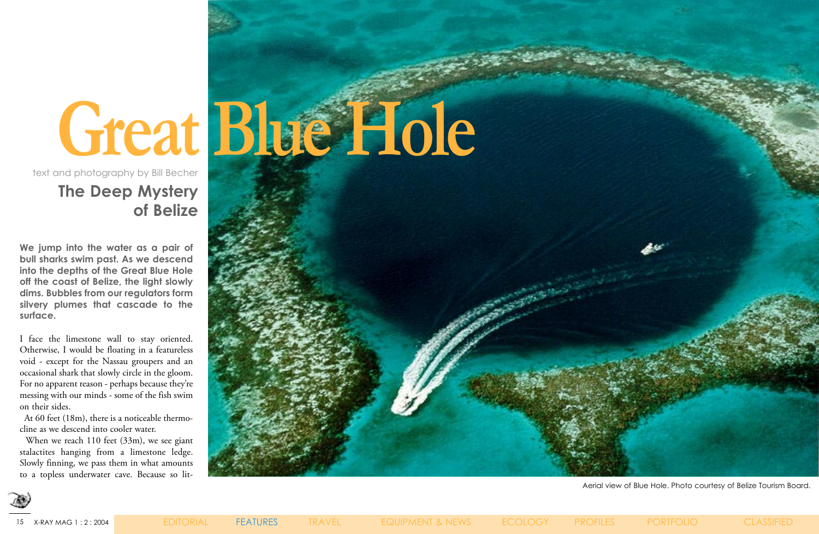### **The Deep Mystery of Belize**

Aerial view of Blue Hole. Photo courtesy of Belize Tourism Board.





**We jump into the water as a pair of bull sharks swim past. As we descend into the depths of the Great Blue Hole off the coast of Belize, the light slowly dims. Bubbles from our regulators form silvery plumes that cascade to the surface.**

When we reach 110 feet (33m), we see giant stalactites hanging from a limestone ledge. Slowly finning, we pass them in what amounts to a topless underwater cave. Because so lit-

I face the limestone wall to stay oriented. Otherwise, I would be floating in a featureless void - except for the Nassau groupers and an occasional shark that slowly circle in the gloom. For no apparent reason - perhaps because they're messing with our minds - some of the fish swim on their sides.

 At 60 feet (18m), there is a noticeable thermocline as we descend into cooler water.

text and photography by Bill Becher

# **Great Blue Hole**

15 X-RAY MAG 1 : 2 : 2004EDITORIAL FEATURES TRAVEL EQUIPMENT & NEWS ECOLOGY PROFILES PORTFOLIO CLASSIFIED

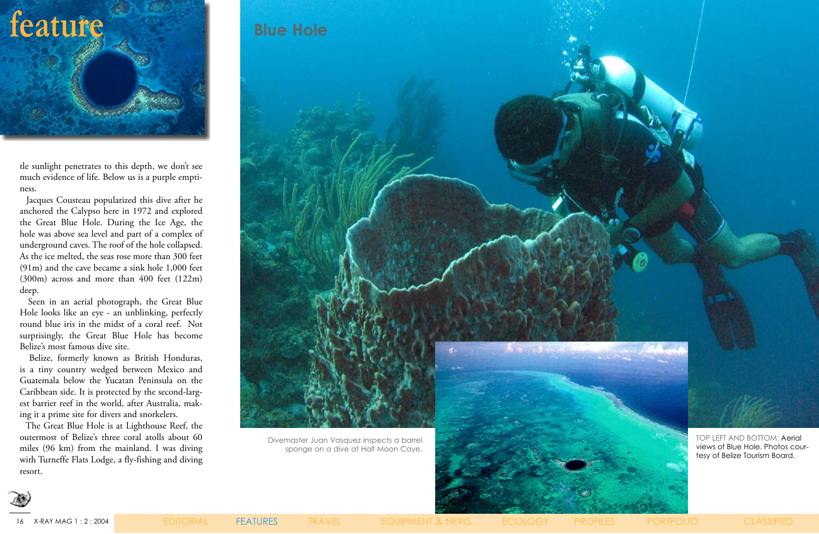

tle sunlight penetrates to this depth, we don't see much evidence of life. Below us is a purple emptiness.

 Jacques Cousteau popularized this dive after he anchored the Calypso here in 1972 and explored the Great Blue Hole. During the Ice Age, the hole was above sea level and part of a complex of underground caves. The roof of the hole collapsed. As the ice melted, the seas rose more than 300 feet (91m) and the cave became a sink hole 1,000 feet (300m) across and more than 400 feet (122m) deep.

 Seen in an aerial photograph, the Great Blue Hole looks like an eye - an unblinking, perfectly round blue iris in the midst of a coral reef. Not surprisingly, the Great Blue Hole has become Belize's most famous dive site.

 Belize, formerly known as British Honduras, is a tiny country wedged between Mexico and Guatemala below the Yucatan Peninsula on the Caribbean side. It is protected by the second-largest barrier reef in the world, after Australia, making it a prime site for divers and snorkelers.

 The Great Blue Hole is at Lighthouse Reef, the outermost of Belize's three coral atolls about 60 miles (96 km) from the mainland. I was diving with Turneffe Flats Lodge, a fly-fishing and diving resort.

16 X-RAY MAG 1 : 2 : 2004EDITORIAL FEATURES TRAVEL EQUIPMENT & NEWS ECOLOGY PROFILES PORTFOLIO CLASSIFIED





sponge on a dive at Half Moon Caye.



TOP LEFT AND BOTTOM: Aerial views of Blue Hole. Photos courtesy of Belize Tourism Board.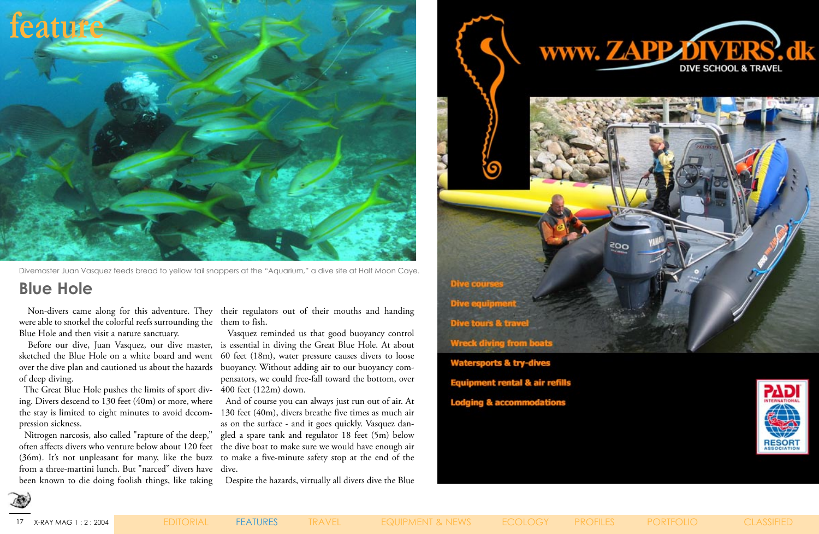were able to snorkel the colorful reefs surrounding the them to fish. Blue Hole and then visit a nature sanctuary.

over the dive plan and cautioned us about the hazards buoyancy. Without adding air to our buoyancy comof deep diving.

Non-divers came along for this adventure. They their regulators out of their mouths and handing

 The Great Blue Hole pushes the limits of sport div-400 feet (122m) down. ing. Divers descend to 130 feet (40m) or more, where pression sickness.

 Before our dive, Juan Vasquez, our dive master, is essential in diving the Great Blue Hole. At about sketched the Blue Hole on a white board and went 60 feet (18m), water pressure causes divers to loose Vasquez reminded us that good buoyancy control pensators, we could free-fall toward the bottom, over

 Nitrogen narcosis, also called "rapture of the deep,'' from a three-martini lunch. But "narced'' divers have dive. been known to die doing foolish things, like taking

the stay is limited to eight minutes to avoid decom-130 feet (40m), divers breathe five times as much air often affects divers who venture below about 120 feet the dive boat to make sure we would have enough air (36m). It's not unpleasant for many, like the buzz to make a five-minute safety stop at the end of the And of course you can always just run out of air. At as on the surface - and it goes quickly. Vasquez dangled a spare tank and regulator 18 feet (5m) below

Despite the hazards, virtually all divers dive the Blue













### **Blue Hole**

Divemaster Juan Vasquez feeds bread to yellow tail snappers at the "Aquarium," a dive site at Half Moon Caye.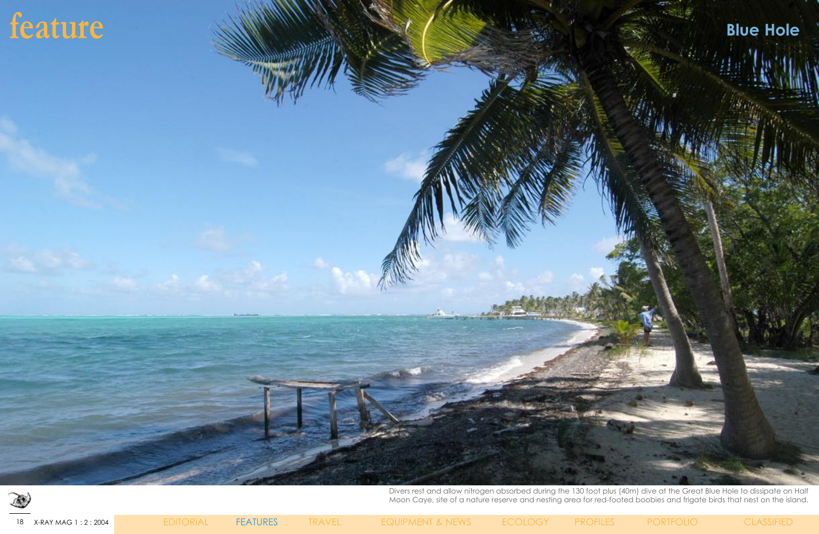18 X-RAY MAG 1 : 2 : 2004EDITORIAL FEATURES TRAVEL EQUIPMENT & NEWS ECOLOGY PROFILES PORTFOLIO CLASSIFIED



Divers rest and allow nitrogen absorbed during the 130 foot plus (40m) dive at the Great Blue Hole to dissipate on Half Moon Caye, site of a nature reserve and nesting area for red-footed boobies and frigate birds that nest on the island.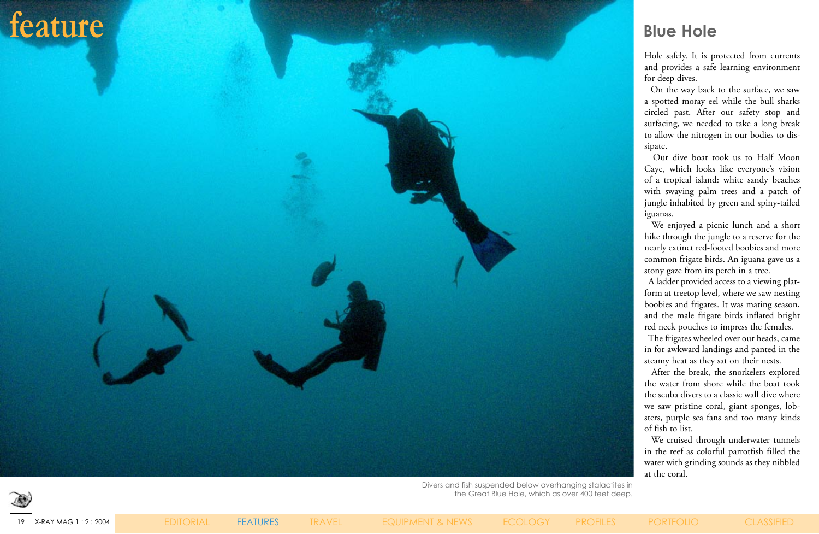Hole safely. It is protected from currents and provides a safe learning environment for deep dives.

 On the way back to the surface, we saw a spotted moray eel while the bull sharks circled past. After our safety stop and surfacing, we needed to take a long break to allow the nitrogen in our bodies to dissipate.

 Our dive boat took us to Half Moon Caye, which looks like everyone's vision of a tropical island: white sandy beaches with swaying palm trees and a patch of jungle inhabited by green and spiny-tailed iguanas.

 We enjoyed a picnic lunch and a short hike through the jungle to a reserve for the nearly extinct red-footed boobies and more common frigate birds. An iguana gave us a stony gaze from its perch in a tree.

 A ladder provided access to a viewing platform at treetop level, where we saw nesting boobies and frigates. It was mating season, and the male frigate birds inflated bright red neck pouches to impress the females.

 The frigates wheeled over our heads, came in for awkward landings and panted in the steamy heat as they sat on their nests.

 After the break, the snorkelers explored the water from shore while the boat took the scuba divers to a classic wall dive where we saw pristine coral, giant sponges, lobsters, purple sea fans and too many kinds of fish to list.

 We cruised through underwater tunnels in the reef as colorful parrotfish filled the water with grinding sounds as they nibbled at the coral.

# **feature Blue Hole**

Divers and fish suspended below overhanging stalactites in the Great Blue Hole, which as over 400 feet deep.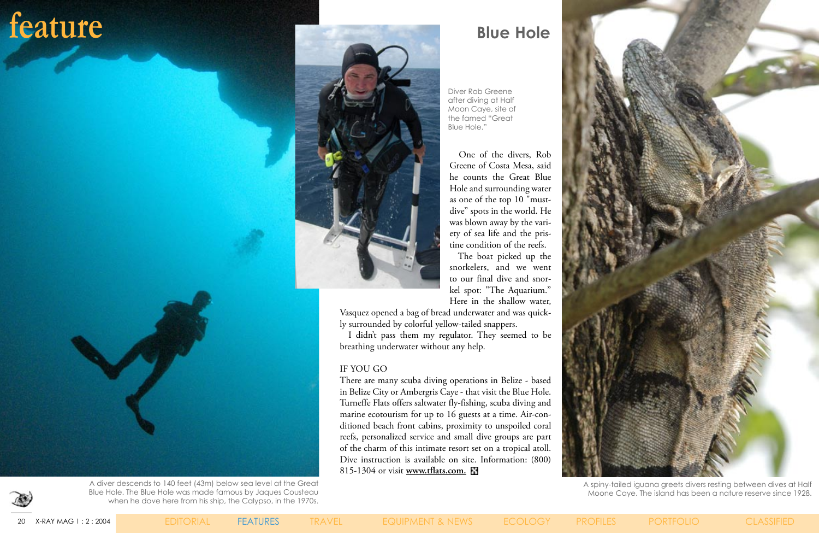

 One of the divers, Rob Greene of Costa Mesa, said he counts the Great Blue Hole and surrounding water as one of the top 10 "mustdive'' spots in the world. He was blown away by the variety of sea life and the pristine condition of the reefs.

 The boat picked up the snorkelers, and we went to our final dive and snorkel spot: "The Aquarium.'' Here in the shallow water,

Vasquez opened a bag of bread underwater and was quickly surrounded by colorful yellow-tailed snappers.

 I didn't pass them my regulator. They seemed to be breathing underwater without any help.

### IF YOU GO

There are many scuba diving operations in Belize - based in Belize City or Ambergris Caye - that visit the Blue Hole. Turneffe Flats offers saltwater fly-fishing, scuba diving and marine ecotourism for up to 16 guests at a time. Air-conditioned beach front cabins, proximity to unspoiled coral reefs, personalized service and small dive groups are part of the charm of this intimate resort set on a tropical atoll. Dive instruction is available on site. Information: (800) 815-1304 or visit **[www.tflats.com.](http://www.tflats.com)**

A spiny-tailed iguana greets divers resting between dives at Half Moone Caye. The island has been a nature reserve since 1928.

### feature **Blue Hole**

Diver Rob Greene after diving at Half Moon Caye, site of the famed "Great Blue Hole."